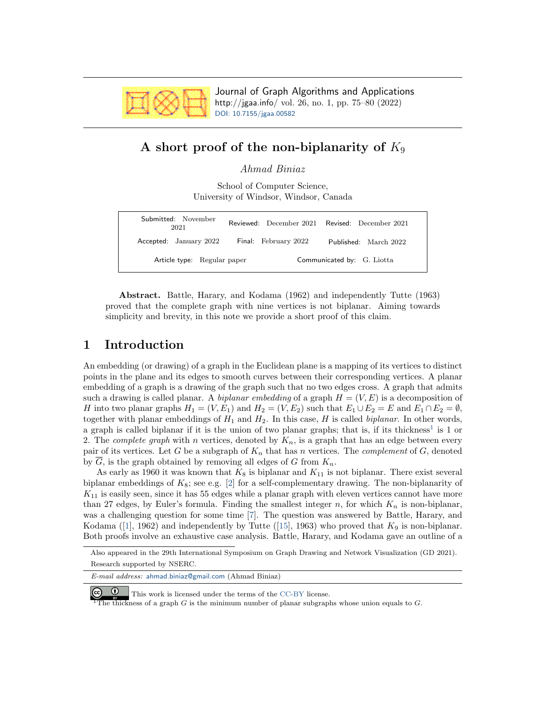

Journal of Graph Algorithms and Applications http://jgaa.info/ vol. 26, no. 1, pp. 75–80 (2022) [DOI: 10.7155/jgaa.00582](http://dx.doi.org/10.7155/jgaa.00582)

# A short proof of the non-biplanarity of  $K_9$

Ahmad Biniaz

School of Computer Science, University of Windsor, Windsor, Canada

| Submitted: November<br>2021 |                      | Reviewed: December 2021 Revised: December 2021 |
|-----------------------------|----------------------|------------------------------------------------|
| Accepted: January 2022      | Final: February 2022 | Published: March 2022                          |
| Article type: Regular paper |                      | Communicated by: G. Liotta                     |

Abstract. Battle, Harary, and Kodama (1962) and independently Tutte (1963) proved that the complete graph with nine vertices is not biplanar. Aiming towards simplicity and brevity, in this note we provide a short proof of this claim.

## 1 Introduction

An embedding (or drawing) of a graph in the Euclidean plane is a mapping of its vertices to distinct points in the plane and its edges to smooth curves between their corresponding vertices. A planar embedding of a graph is a drawing of the graph such that no two edges cross. A graph that admits such a drawing is called planar. A *biplanar embedding* of a graph  $H = (V, E)$  is a decomposition of H into two planar graphs  $H_1 = (V, E_1)$  and  $H_2 = (V, E_2)$  such that  $E_1 \cup E_2 = E$  and  $E_1 \cap E_2 = \emptyset$ , together with planar embeddings of  $H_1$  and  $H_2$ . In this case, H is called *biplanar*. In other words, a graph is called biplanar if it is the union of two planar graphs; that is, if its thickness<sup>1</sup> is 1 or 2. The *complete graph* with n vertices, denoted by  $K_n$ , is a graph that has an edge between every pair of its vertices. Let G be a subgraph of  $K_n$  that has n vertices. The *complement* of G, denoted by  $\overline{G}$ , is the graph obtained by removing all edges of G from  $K_n$ .

As early as 1960 it was known that  $K_8$  is biplanar and  $K_{11}$  is not biplanar. There exist several biplanar embeddings of  $K_8$ ; see e.g. [\[2\]](#page-5-0) for a self-complementary drawing. The non-biplanarity of  $K_{11}$  is easily seen, since it has 55 edges while a planar graph with eleven vertices cannot have more than 27 edges, by Euler's formula. Finding the smallest integer n, for which  $K_n$  is non-biplanar, was a challenging question for some time [\[7\]](#page-5-1). The question was answered by Battle, Harary, and Kodama ([\[1\]](#page-5-2), 1962) and independently by Tutte ([\[15\]](#page-5-3), 1963) who proved that  $K_9$  is non-biplanar. Both proofs involve an exhaustive case analysis. Battle, Harary, and Kodama gave an outline of a

E-mail address: [ahmad.biniaz@gmail.com](mailto:ahmad.biniaz@gmail.com) (Ahmad Biniaz)



The thickness of a graph  $G$  is the minimum number of planar subgraphs whose union equals to  $G$ .

Also appeared in the 29th International Symposium on Graph Drawing and Network Visualization (GD 2021). Research supported by NSERC.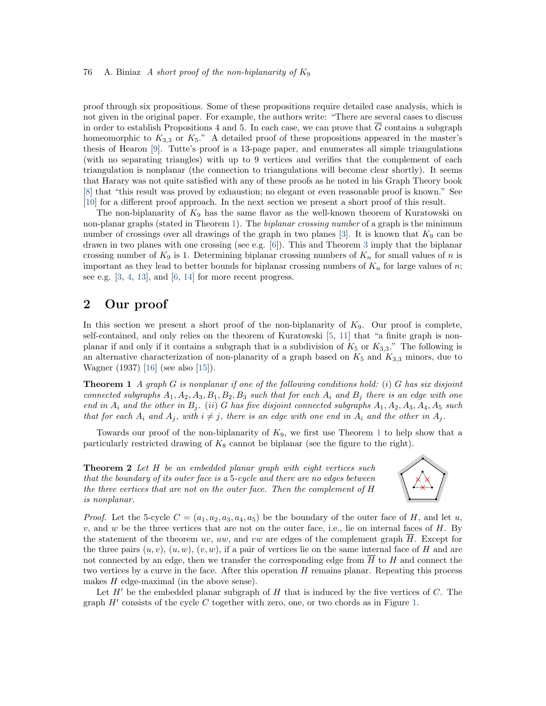#### 76 A. Biniaz A short proof of the non-biplanarity of  $K_9$

proof through six propositions. Some of these propositions require detailed case analysis, which is not given in the original paper. For example, the authors write: "There are several cases to discuss in order to establish Propositions 4 and 5. In each case, we can prove that  $\overline{G}$  contains a subgraph homeomorphic to  $K_{3,3}$  or  $K_5$ ." A detailed proof of these propositions appeared in the master's thesis of Hearon [\[9\]](#page-5-4). Tutte's proof is a 13-page paper, and enumerates all simple triangulations (with no separating triangles) with up to 9 vertices and verifies that the complement of each triangulation is nonplanar (the connection to triangulations will become clear shortly). It seems that Harary was not quite satisfied with any of these proofs as he noted in his Graph Theory book [\[8\]](#page-5-5) that "this result was proved by exhaustion; no elegant or even reasonable proof is known." See [\[10\]](#page-5-6) for a different proof approach. In the next section we present a short proof of this result.

The non-biplanarity of  $K_9$  has the same flavor as the well-known theorem of Kuratowski on non-planar graphs (stated in Theorem [1\)](#page-1-0). The *biplanar crossing number* of a graph is the minimum number of crossings over all drawings of the graph in two planes [\[3\]](#page-5-7). It is known that  $K_9$  can be drawn in two planes with one crossing (see e.g. [\[6\]](#page-5-8)). This and Theorem [3](#page-3-0) imply that the biplanar crossing number of  $K_9$  is 1. Determining biplanar crossing numbers of  $K_n$  for small values of n is important as they lead to better bounds for biplanar crossing numbers of  $K_n$  for large values of n; see e.g. [\[3,](#page-5-7) [4,](#page-5-9) [13\]](#page-5-10), and [\[6,](#page-5-8) [14\]](#page-5-11) for more recent progress.

### 2 Our proof

In this section we present a short proof of the non-biplanarity of  $K_9$ . Our proof is complete, self-contained, and only relies on the theorem of Kuratowski [\[5,](#page-5-12) [11\]](#page-5-13) that "a finite graph is nonplanar if and only if it contains a subgraph that is a subdivision of  $K_5$  or  $K_{3,3}$ ." The following is an alternative characterization of non-planarity of a graph based on  $K_5$  and  $K_{3,3}$  minors, due to Wagner (1937) [\[16\]](#page-5-14) (see also [\[15\]](#page-5-3)).

<span id="page-1-0"></span>**Theorem 1** A graph G is nonplanar if one of the following conditions hold: (i) G has six disjoint connected subgraphs  $A_1, A_2, A_3, B_1, B_2, B_3$  such that for each  $A_i$  and  $B_j$  there is an edge with one end in  $A_i$  and the other in  $B_j$ . (ii) G has five disjoint connected subgraphs  $A_1, A_2, A_3, A_4, A_5$  such that for each  $A_i$  and  $A_j$ , with  $i \neq j$ , there is an edge with one end in  $A_i$  and the other in  $A_j$ .

Towards our proof of the non-biplanarity of  $K_9$ , we first use Theorem [1](#page-1-0) to help show that a particularly restricted drawing of  $K_8$  cannot be biplanar (see the figure to the right).

<span id="page-1-1"></span>**Theorem 2** Let H be an embedded planar graph with eight vertices such that the boundary of its outer face is a 5-cycle and there are no edges between the three vertices that are not on the outer face. Then the complement of H is nonplanar.



*Proof.* Let the 5-cycle  $C = (a_1, a_2, a_3, a_4, a_5)$  be the boundary of the outer face of H, and let u,  $v$ , and  $w$  be the three vertices that are not on the outer face, i.e., lie on internal faces of  $H$ . By the statement of the theorem uv, uw, and vw are edges of the complement graph  $\overline{H}$ . Except for the three pairs  $(u, v)$ ,  $(u, w)$ ,  $(v, w)$ , if a pair of vertices lie on the same internal face of H and are not connected by an edge, then we transfer the corresponding edge from  $\overline{H}$  to H and connect the two vertices by a curve in the face. After this operation  $H$  remains planar. Repeating this process makes  $H$  edge-maximal (in the above sense).

Let  $H'$  be the embedded planar subgraph of  $H$  that is induced by the five vertices of  $C$ . The graph  $H'$  consists of the cycle  $C$  together with zero, one, or two chords as in Figure [1.](#page-2-0)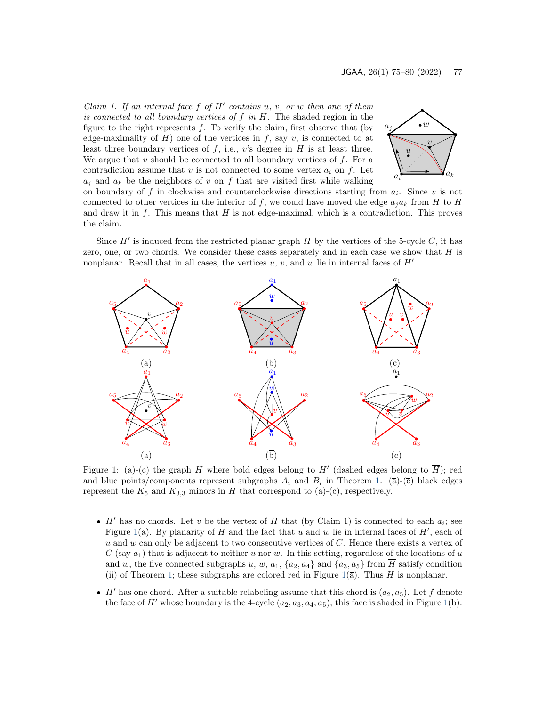Claim 1. If an internal face  $f$  of  $H'$  contains  $u, v, or w$  then one of them is connected to all boundary vertices of  $f$  in  $H$ . The shaded region in the figure to the right represents  $f$ . To verify the claim, first observe that (by edge-maximality of H) one of the vertices in f, say v, is connected to at least three boundary vertices of  $f$ , i.e.,  $v$ 's degree in  $H$  is at least three. We argue that v should be connected to all boundary vertices of  $f$ . For a contradiction assume that v is not connected to some vertex  $a_i$  on f. Let  $a_i$  and  $a_k$  be the neighbors of v on f that are visited first while walking



on boundary of f in clockwise and counterclockwise directions starting from  $a_i$ . Since v is not connected to other vertices in the interior of f, we could have moved the edge  $a_i a_k$  from  $\overline{H}$  to H and draw it in  $f$ . This means that  $H$  is not edge-maximal, which is a contradiction. This proves the claim.

Since  $H'$  is induced from the restricted planar graph  $H$  by the vertices of the 5-cycle  $C$ , it has zero, one, or two chords. We consider these cases separately and in each case we show that  $\overline{H}$  is nonplanar. Recall that in all cases, the vertices  $u, v$ , and  $w$  lie in internal faces of  $H'$ .



<span id="page-2-0"></span>Figure 1: (a)-(c) the graph H where bold edges belong to H' (dashed edges belong to  $\overline{H}$ ); red and blue points/components represent subgraphs  $A_i$  and  $B_i$  in Theorem [1.](#page-1-0) ( $\overline{a}$ )-( $\overline{c}$ ) black edges represent the  $K_5$  and  $K_{3,3}$  minors in  $\overline{H}$  that correspond to (a)-(c), respectively.

- $\bullet$  H' has no chords. Let v be the vertex of H that (by Claim 1) is connected to each  $a_i$ ; see Figure [1\(](#page-2-0)a). By planarity of H and the fact that u and w lie in internal faces of  $H'$ , each of u and w can only be adjacent to two consecutive vertices of  $C$ . Hence there exists a vertex of C (say  $a_1$ ) that is adjacent to neither u nor w. In this setting, regardless of the locations of u and w, the five connected subgraphs u, w,  $a_1$ ,  $\{a_2, a_4\}$  and  $\{a_3, a_5\}$  from  $\overline{H}$  satisfy condition (ii) of Theorem [1;](#page-1-0) these subgraphs are colored red in Figure [1\(](#page-2-0) $\bar{a}$ ). Thus  $\overline{H}$  is nonplanar.
- $\bullet$  H' has one chord. After a suitable relabeling assume that this chord is  $(a_2, a_5)$ . Let f denote the face of H' whose boundary is the 4-cycle  $(a_2, a_3, a_4, a_5)$ ; this face is shaded in Figure [1\(](#page-2-0)b).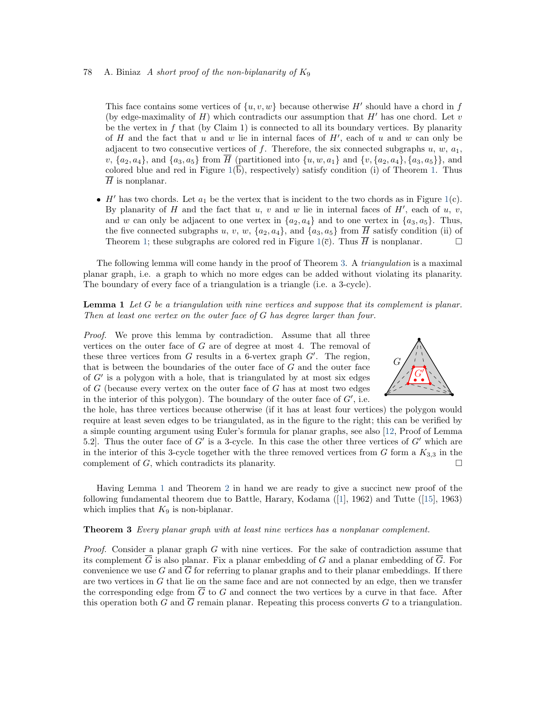#### 78 A. Biniaz A short proof of the non-biplanarity of  $K_9$

This face contains some vertices of  $\{u, v, w\}$  because otherwise H' should have a chord in f (by edge-maximality of  $H$ ) which contradicts our assumption that  $H'$  has one chord. Let  $v$ be the vertex in  $f$  that (by Claim 1) is connected to all its boundary vertices. By planarity of  $H$  and the fact that  $u$  and  $w$  lie in internal faces of  $H'$ , each of  $u$  and  $w$  can only be adjacent to two consecutive vertices of f. Therefore, the six connected subgraphs  $u, w, a_1$ ,  $v, \{a_2, a_4\}, \text{ and } \{a_3, a_5\} \text{ from } \overline{H} \text{ (partitioned into } \{u, w, a_1\} \text{ and } \{v, \{a_2, a_4\}, \{a_3, a_5\}\}\text{, and }$ colored blue and red in Figure  $1(b)$  $1(b)$ , respectively) satisfy condition (i) of Theorem [1.](#page-1-0) Thus  $\overline{H}$  is nonplanar.

 $\bullet$  H' has two chords. Let  $a_1$  be the vertex that is incident to the two chords as in Figure [1\(](#page-2-0)c). By planarity of H and the fact that  $u, v$  and  $w$  lie in internal faces of  $H'$ , each of  $u, v$ , and w can only be adjacent to one vertex in  $\{a_2, a_4\}$  and to one vertex in  $\{a_3, a_5\}$ . Thus, the five connected subgraphs u, v, w,  $\{a_2, a_4\}$ , and  $\{a_3, a_5\}$  from  $\overline{H}$  satisfy condition (ii) of Theorem [1;](#page-1-0) these subgraphs are colored red in Figure [1\(](#page-2-0) $\bar{c}$ ). Thus  $\bar{H}$  is nonplanar.  $\Box$ 

The following lemma will come handy in the proof of Theorem [3.](#page-3-0) A *triangulation* is a maximal planar graph, i.e. a graph to which no more edges can be added without violating its planarity. The boundary of every face of a triangulation is a triangle (i.e. a 3-cycle).

<span id="page-3-1"></span>Lemma 1 Let G be a triangulation with nine vertices and suppose that its complement is planar. Then at least one vertex on the outer face of G has degree larger than four.

Proof. We prove this lemma by contradiction. Assume that all three vertices on the outer face of G are of degree at most 4. The removal of these three vertices from  $G$  results in a 6-vertex graph  $G'$ . The region, that is between the boundaries of the outer face of  $G$  and the outer face of G′ is a polygon with a hole, that is triangulated by at most six edges of  $G$  (because every vertex on the outer face of  $G$  has at most two edges in the interior of this polygon). The boundary of the outer face of  $G'$ , i.e.



the hole, has three vertices because otherwise (if it has at least four vertices) the polygon would require at least seven edges to be triangulated, as in the figure to the right; this can be verified by a simple counting argument using Euler's formula for planar graphs, see also [\[12,](#page-5-15) Proof of Lemma 5.2. Thus the outer face of  $G'$  is a 3-cycle. In this case the other three vertices of  $G'$  which are in the interior of this 3-cycle together with the three removed vertices from G form a  $K_{3,3}$  in the complement of  $G$ , which contradicts its planarity.

Having Lemma [1](#page-3-1) and Theorem [2](#page-1-1) in hand we are ready to give a succinct new proof of the following fundamental theorem due to Battle, Harary, Kodama ([\[1\]](#page-5-2), 1962) and Tutte ([\[15\]](#page-5-3), 1963) which implies that  $K_9$  is non-biplanar.

#### <span id="page-3-0"></span>**Theorem 3** Every planar graph with at least nine vertices has a nonplanar complement.

*Proof.* Consider a planar graph  $G$  with nine vertices. For the sake of contradiction assume that its complement  $\overline{G}$  is also planar. Fix a planar embedding of G and a planar embedding of  $\overline{G}$ . For convenience we use G and  $\overline{G}$  for referring to planar graphs and to their planar embeddings. If there are two vertices in  $G$  that lie on the same face and are not connected by an edge, then we transfer the corresponding edge from  $\overline{G}$  to G and connect the two vertices by a curve in that face. After this operation both G and  $\overline{G}$  remain planar. Repeating this process converts G to a triangulation.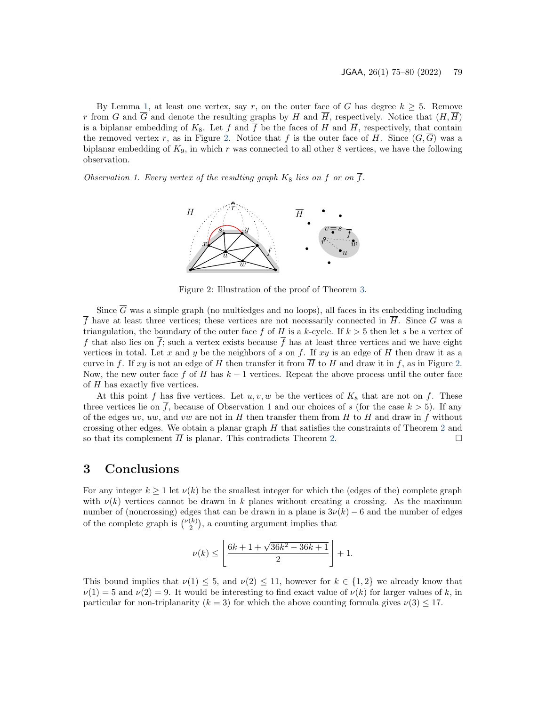By Lemma [1,](#page-3-1) at least one vertex, say r, on the outer face of G has degree  $k \geq 5$ . Remove r from G and  $\overline{G}$  and denote the resulting graphs by H and  $\overline{H}$ , respectively. Notice that  $(H,\overline{H})$ is a biplanar embedding of  $K_8$ . Let f and  $\overline{f}$  be the faces of H and  $\overline{H}$ , respectively, that contain the removed vertex r, as in Figure [2.](#page-4-0) Notice that f is the outer face of H. Since  $(G,\overline{G})$  was a biplanar embedding of  $K_9$ , in which r was connected to all other 8 vertices, we have the following observation.

Observation 1. Every vertex of the resulting graph  $K_8$  lies on f or on  $\overline{f}$ .



<span id="page-4-0"></span>Figure 2: Illustration of the proof of Theorem [3.](#page-3-0)

Since  $\overline{G}$  was a simple graph (no multiedges and no loops), all faces in its embedding including f have at least three vertices; these vertices are not necessarily connected in  $\overline{H}$ . Since G was a triangulation, the boundary of the outer face f of H is a k-cycle. If  $k > 5$  then let s be a vertex of f that also lies on  $\overline{f}$ ; such a vertex exists because  $\overline{f}$  has at least three vertices and we have eight vertices in total. Let x and y be the neighbors of s on f. If  $xy$  is an edge of H then draw it as a curve in f. If xy is not an edge of H then transfer it from  $\overline{H}$  to H and draw it in f, as in Figure [2.](#page-4-0) Now, the new outer face f of H has  $k-1$  vertices. Repeat the above process until the outer face of H has exactly five vertices.

At this point f has five vertices. Let  $u, v, w$  be the vertices of  $K_8$  that are not on f. These three vertices lie on  $\overline{f}$ , because of Observation 1 and our choices of s (for the case  $k > 5$ ). If any of the edges uv, uw, and vw are not in  $\overline{H}$  then transfer them from H to  $\overline{H}$  and draw in  $\overline{f}$  without crossing other edges. We obtain a planar graph  $H$  that satisfies the constraints of Theorem [2](#page-1-1) and so that its complement  $\overline{H}$  is planar. This contradicts Theorem [2.](#page-1-1)  $\Box$ 

### 3 Conclusions

For any integer  $k \geq 1$  let  $\nu(k)$  be the smallest integer for which the (edges of the) complete graph with  $\nu(k)$  vertices cannot be drawn in k planes without creating a crossing. As the maximum number of (noncrossing) edges that can be drawn in a plane is  $3\nu(k) - 6$  and the number of edges of the complete graph is  $\binom{\nu(k)}{2}$ , a counting argument implies that

$$
\nu(k)\leq \left\lfloor\frac{6k+1+\sqrt{36k^2-36k+1}}{2}\right\rfloor+1.
$$

This bound implies that  $\nu(1) \leq 5$ , and  $\nu(2) \leq 11$ , however for  $k \in \{1,2\}$  we already know that  $\nu(1) = 5$  and  $\nu(2) = 9$ . It would be interesting to find exact value of  $\nu(k)$  for larger values of k, in particular for non-triplanarity ( $k = 3$ ) for which the above counting formula gives  $\nu(3) \leq 17$ .